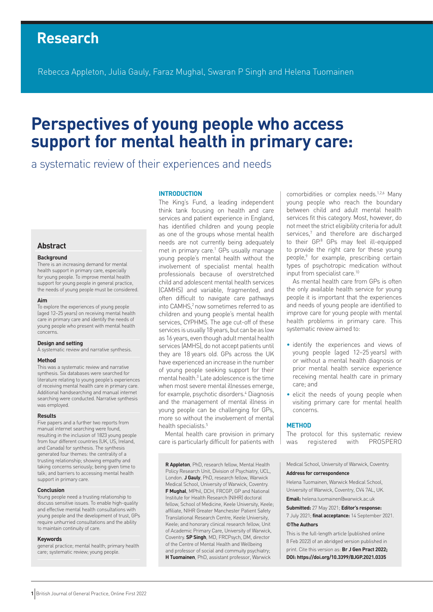# **Research**

Rebecca Appleton, Julia Gauly, Faraz Mughal, Swaran P Singh and Helena Tuomainen

# **Perspectives of young people who access support for mental health in primary care:**

## a systematic review of their experiences and needs

## **Abstract**

## **Background**

There is an increasing demand for mental health support in primary care, especially for young people. To improve mental health support for young people in general practice, the needs of young people must be considered.

#### **Aim**

To explore the experiences of young people (aged 12–25 years) on receiving mental health care in primary care and identify the needs of young people who present with mental health concerns.

#### **Design and setting**

A systematic review and narrative synthesis.

#### **Method**

This was a systematic review and narrative synthesis. Six databases were searched for literature relating to young people's experiences of receiving mental health care in primary care. Additional handsearching and manual internet searching were conducted. Narrative synthesis was employed.

#### **Results**

Five papers and a further two reports from manual internet searching were found, resulting in the inclusion of 1823 young people from four different countries (UK, US, Ireland, and Canada) for synthesis. The synthesis generated four themes: the centrality of a trusting relationship; showing empathy and taking concerns seriously; being given time to talk; and barriers to accessing mental health support in primary care.

#### **Conclusion**

Young people need a trusting relationship to discuss sensitive issues. To enable high-quality and effective mental health consultations with young people and the development of trust, GPs require unhurried consultations and the ability to maintain continuity of care.

#### **Keywords**

general practice; mental health; primary health care; systematic review; young people.

## **INTRODUCTION**

The King's Fund, a leading independent think tank focusing on health and care services and patient experience in England, has identified children and young people as one of the groups whose mental health needs are not currently being adequately met in primary care.<sup>1</sup> GPs usually manage young people's mental health without the involvement of specialist mental health professionals because of overstretched child and adolescent mental health services (CAMHS) and variable, fragmented, and often difficult to navigate care pathways into CAMHS,<sup>2</sup> now sometimes referred to as children and young people's mental health services, CYPHMS. The age cut-off of these services is usually 18 years, but can be as low as 16 years, even though adult mental health services (AMHS), do not accept patients until they are 18 years old. GPs across the UK have experienced an increase in the number of young people seeking support for their mental health.3 Late adolescence is the time when most severe mental illnesses emerge, for example, psychotic disorders.4 Diagnosis and the management of mental illness in young people can be challenging for GPs, more so without the involvement of mental health specialists.<sup>5</sup>

Mental health care provision in primary care is particularly difficult for patients with

**R Appleton**, PhD, research fellow, Mental Health Policy Research Unit, Division of Psychiatry, UCL, London. **J Gauly**, PhD, research fellow, Warwick Medical School, University of Warwick, Coventry. **F Mughal**, MPhil, DCH, FRCGP, GP and National Institute for Health Research (NIHR) doctoral fellow, School of Medicine, Keele University, Keele; affiliate, NIHR Greater Manchester Patient Safety Translational Research Centre, Keele University, Keele; and honorary clinical research fellow, Unit of Academic Primary Care, University of Warwick, Coventry. **SP Singh**, MD, FRCPsych, DM, director of the Centre of Mental Health and Wellbeing and professor of social and commuity psychiatry; **H Tuomainen**, PhD, assistant professor, Warwick

comorbidities or complex needs.<sup>1,2,6</sup> Many young people who reach the boundary between child and adult mental health services fit this category. Most, however, do not meet the strict eligibility criteria for adult services,<sup>7</sup> and therefore are discharged to their GP.<sup>8</sup> GPs may feel ill-equipped to provide the right care for these young people,<sup>9</sup> for example, prescribing certain types of psychotropic medication without input from specialist care.10

As mental health care from GPs is often the only available health service for young people it is important that the experiences and needs of young people are identified to improve care for young people with mental health problems in primary care. This systematic review aimed to:

- identify the experiences and views of young people (aged 12–25 years) with or without a mental health diagnosis or prior mental health service experience receiving mental health care in primary care; and
- elicit the needs of young people when visiting primary care for mental health concerns.

#### **METHOD**

The protocol for this systematic review was registered with PROSPERO

Medical School, University of Warwick, Coventry.

## **Address for correspondence**

Helena Tuomainen, Warwick Medical School, University of Warwick, Coventry, CV4 7AL, UK. **Email:** [helena.tuomainen@warwick.ac.uk](mailto:helena.tuomainen@warwick.ac.uk)

**Submitted:** 27 May 2021; **Editor's response:**

7 July 2021; **final acceptance:** 14 September 2021. **©The Authors**

This is the full-length article (published online 8 Feb 2022) of an abridged version published in print. Cite this version as: **Br J Gen Pract 2022; DOI: <https://doi.org/10.3399/BJGP.2021.0335>**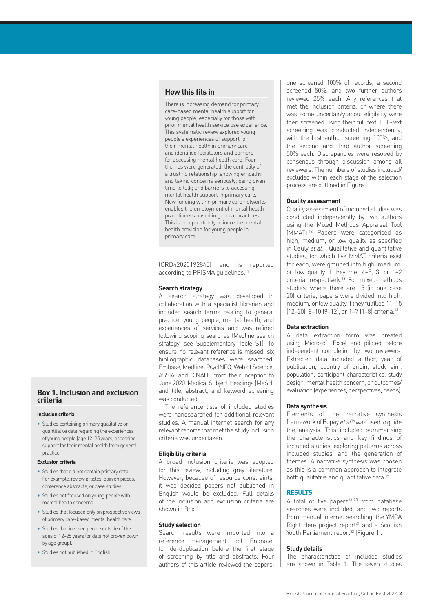## **How this fits in**

There is increasing demand for primary care-based mental health support for young people, especially for those with prior mental health service use experience. This systematic review explored young people's experiences of support for their mental health in primary care and identified facilitators and barriers for accessing mental health care. Four themes were generated: the centrality of a trusting relationship; showing empathy and taking concerns seriously; being given time to talk; and barriers to accessing mental health support in primary care. New funding within primary care networks enables the employment of mental health practitioners based in general practices. This is an opportunity to increase mental health provision for young people in primary care.

(CRD42020192845) and is reported according to PRISMA quidelines.<sup>11</sup>

## **Search strategy**

A search strategy was developed in collaboration with a specialist librarian and included search terms relating to general practice, young people, mental health, and experiences of services and was refined following scoping searches (Medline search strategy, see Supplementary Table S1). To ensure no relevant reference is missed, six bibliographic databases were searched: Embase, Medline, PsycINFO, Web of Science, ASSIA, and CINAHL from their inception to June 2020. Medical Subject Headings (MeSH) and title, abstract, and keyword screening was conducted.

The reference lists of included studies were handsearched for additional relevant studies. A manual internet search for any relevant reports that met the study inclusion criteria was undertaken.

## **Eligibility criteria**

A broad inclusion criteria was adopted for this review, including grey literature. However, because of resource constraints, it was decided papers not published in English would be excluded. Full details of the inclusion and exclusion criteria are shown in Box 1.

## **Study selection**

Search results were imported into a reference management tool (Endnote) for de-duplication before the first stage of screening by title and abstracts. Four authors of this article reviewed the papers:

one screened 100% of records, a second screened 50%, and two further authors reviewed 25% each. Any references that met the inclusion criteria, or where there was some uncertainly about eligibility were then screened using their full text. Full-text screening was conducted independently, with the first author screening 100%, and the second and third author screening 50% each. Discrepancies were resolved by consensus through discussion among all reviewers. The numbers of studies included/ excluded within each stage of the selection process are outlined in Figure 1.

## **Quality assessment**

Quality assessment of included studies was conducted independently by two authors using the Mixed Methods Appraisal Tool (MMAT).12 Papers were categorised as high, medium, or low quality as specified in Gauly et al.<sup>13</sup> Qualitative and quantitative studies, for which five MMAT criteria exist for each, were grouped into high, medium, or low quality if they met 4–5, 3, or 1–2 criteria, respectively.13 For mixed-methods studies, where there are 15 (in one case 20) criteria, papers were divided into high, medium, or low quality if they fulfilled 11–15 (12–20), 8–10 (9–12), or 1–7 (1–8) criteria.13

## **Data extraction**

A data extraction form was created using Microsoft Excel and piloted before independent completion by two reviewers. Extracted data included author, year of publication, country of origin, study aim, population, participant characteristics, study design, mental health concern, or outcomes/ evaluation (experiences, perspectives, needs).

## **Data synthesis**

Elements of the narrative synthesis framework of Popay  $et al<sup>14</sup>$  was used to quide the analysis. This included summarising the characteristics and key findings of included studies, exploring patterns across included studies, and the generation of themes. A narrative synthesis was chosen as this is a common approach to integrate both qualitative and quantitative data.<sup>15</sup>

## **RESULTS**

A total of five papers $16-20$  from database searches were included, and two reports from manual internet searching, the YMCA Right Here project report<sup>21</sup> and a Scottish Youth Parliament report<sup>22</sup> (Figure 1).

## **Study details**

The characteristics of included studies are shown in Table 1. The seven studies

## **Box 1. Inclusion and exclusion criteria**

#### **Inclusion criteria**

• Studies containing primary qualitative or quantitative data regarding the experiences of young people (age 12–25 years) accessing support for their mental health from general practice.

## **Exclusion criteria**

- Studies that did not contain primary data (for example, review articles, opinion pieces, conference abstracts, or case studies).
- Studies not focused on young people with mental health concerns.
- Studies that focused only on prospective views of primary care-based mental health care.
- Studies that involved people outside of the ages of 12–25 years (or data not broken down by age group).
- Studies not published in English.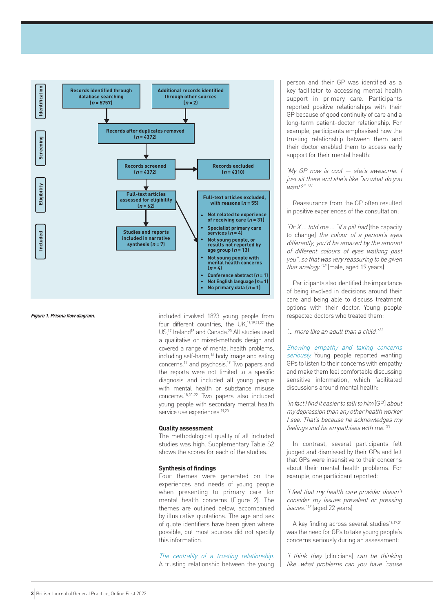

**Figure 1. Prisma flow diagram.**

included involved 1823 young people from four different countries, the UK,16,19,21,22 the US,17 Ireland18 and Canada.20 All studies used a qualitative or mixed-methods design and covered a range of mental health problems, including self-harm,<sup>16</sup> body image and eating concerns,17 and psychosis.19 Two papers and the reports were not limited to a specific diagnosis and included all young people with mental health or substance misuse concerns.18,20–22 Two papers also included young people with secondary mental health service use experiences.<sup>19,20</sup>

## **Quality assessment**

The methodological quality of all included studies was high. Supplementary Table S2 shows the scores for each of the studies.

#### **Synthesis of findings**

Four themes were generated on the experiences and needs of young people when presenting to primary care for mental health concerns (Figure 2). The themes are outlined below, accompanied by illustrative quotations. The age and sex of quote identifiers have been given where possible, but most sources did not specify this information.

The centrality of a trusting relationship. A trusting relationship between the young

person and their GP was identified as a key facilitator to accessing mental health support in primary care. Participants reported positive relationships with their GP because of good continuity of care and a long-term patient–doctor relationship. For example, participants emphasised how the trusting relationship between them and their doctor enabled them to access early support for their mental health:

'My GP now is cool - she's awesome. I just sit there and she's like "so what do you want?".'21

Reassurance from the GP often resulted in positive experiences of the consultation:

'Dr.  $X$  ... told me ... "if a pill had [the capacity to change] the colour of a person's eyes differently, you'd be amazed by the amount of different colours of eyes walking past you", so that was very reassuring to be given that analogy.<sup>'18</sup> (male, aged 19 years)

Participants also identified the importance of being involved in decisions around their care and being able to discuss treatment options with their doctor. Young people respected doctors who treated them:

 $\dot{m}$  more like an adult than a child.<sup>'21</sup>

Showing empathy and taking concerns seriously. Young people reported wanting GPs to listen to their concerns with empathy and make them feel comfortable discussing sensitive information, which facilitated discussions around mental health:

'In fact I find it easier to talk to him [GP] about my depression than any other health worker I see. That's because he acknowledges my feelings and he empathises with me.'21

In contrast, several participants felt judged and dismissed by their GPs and felt that GPs were insensitive to their concerns about their mental health problems. For example, one participant reported:

'I feel that my health care provider doesn't consider my issues prevalent or pressing issues.'17 (aged 22 years)

A key finding across several studies<sup>16,17,21</sup> was the need for GPs to take young people's concerns seriously during an assessment:

'I think they [clinicians] can be thinking like…what problems can you have 'cause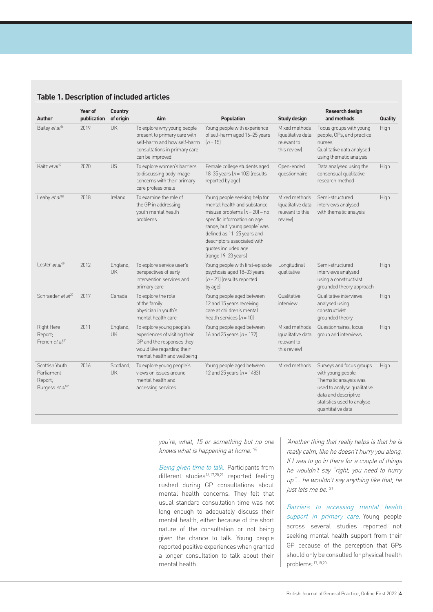## **Table 1. Description of included articles**

| Author                                                                 | Year of<br>publication | Country<br>of origin  | Aim                                                                                                                                                  | Population                                                                                                                                                                                                                                                                 | <b>Study design</b>                                               | Research design<br>and methods                                                                                                                                                   | Quality |
|------------------------------------------------------------------------|------------------------|-----------------------|------------------------------------------------------------------------------------------------------------------------------------------------------|----------------------------------------------------------------------------------------------------------------------------------------------------------------------------------------------------------------------------------------------------------------------------|-------------------------------------------------------------------|----------------------------------------------------------------------------------------------------------------------------------------------------------------------------------|---------|
| Bailey et al <sup>16</sup>                                             | 2019                   | <b>UK</b>             | To explore why young people<br>present to primary care with<br>self-harm and how self-harm<br>consultations in primary care<br>can be improved       | Young people with experience<br>of self-harm aged 16-25 years<br>$[n = 15]$                                                                                                                                                                                                | Mixed methods<br>(qualitative data<br>relevant to<br>this review  | Focus groups with young<br>people, GPs, and practice<br>nurses<br>Qualitative data analysed<br>using thematic analysis                                                           | High    |
| Kaitz et al <sup>17</sup>                                              | 2020                   | <b>US</b>             | To explore women's barriers<br>to discussing body image<br>concerns with their primary<br>care professionals                                         | Female college students aged<br>18-35 years $(n = 102)$ (results<br>reported by age)                                                                                                                                                                                       | Open-ended<br>questionnaire                                       | Data analysed using the<br>consensual qualitative<br>research method                                                                                                             | High    |
| Leahy et al <sup>18</sup>                                              | 2018                   | Ireland               | To examine the role of<br>the GP in addressing<br>youth mental health<br>problems                                                                    | Young people seeking help for<br>mental health and substance<br>misuse problems $(n = 20)$ – no<br>specific information on age<br>range, but 'young people' was<br>defined as 11-25 years and<br>descriptors associated with<br>quotes included age<br>(range 19-23 years) | Mixed methods<br>(qualitative data<br>relevant to this<br>reviewl | Semi-structured<br>interviews analysed<br>with thematic analysis                                                                                                                 | High    |
| Lester et $al^{19}$                                                    | 2012                   | England,<br><b>UK</b> | To explore service user's<br>perspectives of early<br>intervention services and<br>primary care                                                      | Young people with first-episode<br>psychosis aged 18-33 years<br>$(n = 21)$ (results reported<br>by age)                                                                                                                                                                   | Longitudinal<br>qualitative                                       | Semi-structured<br>interviews analysed<br>using a constructivist<br>grounded theory approach                                                                                     | High    |
| Schraeder et al <sup>20</sup>                                          | 2017                   | Canada                | To explore the role<br>of the family<br>physician in youth's<br>mental health care                                                                   | Young people aged between<br>12 and 15 years receiving<br>care at children's mental<br>health services $[n=10]$                                                                                                                                                            | Qualitative<br>interview                                          | Qualitative interviews<br>analysed using<br>constructivist<br>grounded theory                                                                                                    | High    |
| Right Here<br>Report;<br>French et $al^{21}$                           | 2011                   | England,<br><b>UK</b> | To explore young people's<br>experiences of visiting their<br>GP and the responses they<br>would like regarding their<br>mental health and wellbeing | Young people aged between<br>16 and 25 years $(n = 172)$                                                                                                                                                                                                                   | Mixed methods<br>(qualitative data<br>relevant to<br>this review  | Questionnaires, focus<br>group and interviews                                                                                                                                    | High    |
| Scottish Youth<br>Parliament<br>Report;<br>Burgess et al <sup>22</sup> | 2016                   | Scotland.<br>UK       | To explore young people's<br>views on issues around<br>mental health and<br>accessing services                                                       | Young people aged between<br>12 and 25 years $(n = 1483)$                                                                                                                                                                                                                  | Mixed methods                                                     | Surveys and focus groups<br>with young people<br>Thematic analysis was<br>used to analyse qualitative<br>data and descriptive<br>statistics used to analyse<br>quantitative data | High    |

you're, what, 15 or something but no one knows what is happening at home.'1<sup>6</sup>

Being given time to talk. Participants from different studies<sup>16,17,20,21</sup> reported feeling rushed during GP consultations about mental health concerns. They felt that usual standard consultation time was not long enough to adequately discuss their mental health, either because of the short nature of the consultation or not being given the chance to talk. Young people reported positive experiences when granted a longer consultation to talk about their mental health:

'Another thing that really helps is that he is really calm, like he doesn't hurry you along. If I was to go in there for a couple of things he wouldn't say "right, you need to hurry up"… he wouldn't say anything like that, he just lets me be.<sup>21</sup>

Barriers to accessing mental health support in primary care. Young people across several studies reported not seeking mental health support from their GP because of the perception that GPs should only be consulted for physical health problems:17,18,20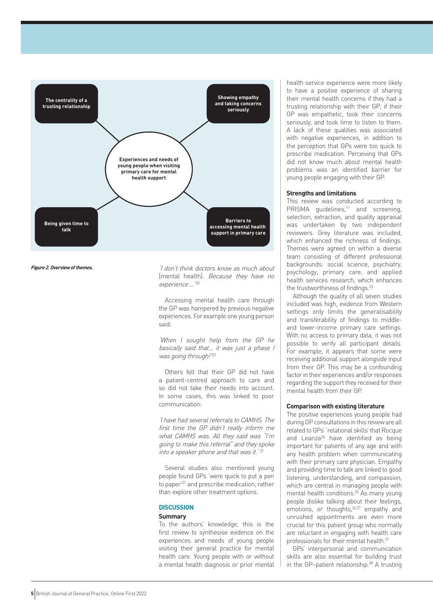

**Figure 2. Overview of themes.** 

'I don't think doctors know as much about [mental health]. Because they have no experience …'<sup>20</sup>

Accessing mental health care through the GP was hampered by previous negative experiences. For example one young person said:

'When I sought help from the GP he basically said that... it was just a phase I was going through!<sup>22</sup>

Others felt that their GP did not have a patient-centred approach to care and so did not take their needs into account. In some cases, this was linked to poor communication:

'I have had several referrals to CAMHS. The first time the GP didn't really inform me what CAMHS was. All they said was "I'm going to make this referral" and they spoke into a speaker phone and that was it.  $21$ 

Several studies also mentioned young people found GPs 'were quick to put a pen to paper'21 and prescribe medication, rather than explore other treatment options.

## **DISCUSSION**

## **Summary**

To the authors' knowledge, this is the first review to synthesise evidence on the experiences and needs of young people visiting their general practice for mental health care. Young people with or without a mental health diagnosis or prior mental health service experience were more likely to have a positive experience of sharing their mental health concerns if they had a trusting relationship with their GP, if their GP was empathetic, took their concerns seriously, and took time to listen to them. A lack of these qualities was associated with negative experiences, in addition to the perception that GPs were too quick to prescribe medication. Perceiving that GPs did not know much about mental health problems was an identified barrier for young people engaging with their GP.

## **Strengths and limitations**

This review was conducted according to PRISMA guidelines,<sup>11</sup> and screening, selection, extraction, and quality appraisal was undertaken by two independent reviewers. Grey literature was included, which enhanced the richness of findings. Themes were agreed on within a diverse team consisting of different professional backgrounds: social science, psychiatry, psychology, primary care, and applied health services research, which enhances the trustworthiness of findings.23

Although the quality of all seven studies included was high, evidence from Western settings only limits the generalisability and transferability of findings to middleand lower-income primary care settings. With no access to primary data, it was not possible to verify all participant details. For example, it appears that some were receiving additional support alongside input from their GP. This may be a confounding factor in their experiences and/or responses regarding the support they received for their mental health from their GP.

## **Comparison with existing literature**

The positive experiences young people had during GP consultations in this review are all related to GPs' 'relational skills' that Rocque and Leanza<sup>24</sup> have identified as being important for patients of any age and with any health problem when communicating with their primary care physician. Empathy and providing time to talk are linked to good listening, understanding, and compassion, which are central in managing people with mental health conditions.<sup>25</sup> As many young people dislike talking about their feelings, emotions, or thoughts, 26,27 empathy and unrushed appointments are even more crucial for this patient group who normally are reluctant in engaging with health care professionals for their mental health.<sup>27</sup>

GPs' interpersonal and communication skills are also essential for building trust in the GP-patient relationship.<sup>28</sup> A trusting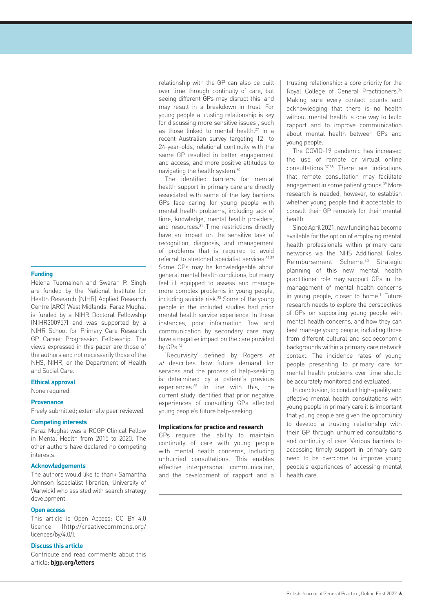#### **Funding**

Helena Tuomainen and Swaran P. Singh are funded by the National Institute for Health Research (NIHR) Applied Research Centre (ARC) West Midlands. Faraz Mughal is funded by a NIHR Doctoral Fellowship (NIHR300957) and was supported by a NIHR School for Primary Care Research GP Career Progression Fellowship. The views expressed in this paper are those of the authors and not necessarily those of the NHS, NIHR, or the Department of Health and Social Care.

#### **Ethical approval**

None required.

## **Provenance**

Freely submitted; externally peer reviewed.

## **Competing interests**

Faraz Mughal was a RCGP Clinical Fellow in Mental Health from 2015 to 2020. The other authors have declared no competing interests.

## **Acknowledgements**

The authors would like to thank Samantha Johnson (specialist librarian, University of Warwick) who assisted with search strategy development.

## **Open access**

This article is Open Access: CC BY 4.0 licence ([http://creativecommons.org/](http://creativecommons.org/licences/by/4.0/) [licences/by/4.0/](http://creativecommons.org/licences/by/4.0/)).

## **Discuss this article**

Contribute and read comments about this article: **[bjgp.org/letters](http://bjgp.org/letters)**

relationship with the GP can also be built over time through continuity of care, but seeing different GPs may disrupt this, and may result in a breakdown in trust. For young people a trusting relationship is key for discussing more sensitive issues , such as those linked to mental health.29 In a recent Australian survey targeting 12- to 24-year-olds, relational continuity with the same GP resulted in better engagement and access, and more positive attitudes to navigating the health system.30

The identified barriers for mental health support in primary care are directly associated with some of the key barriers GPs face caring for young people with mental health problems, including lack of time, knowledge, mental health providers, and resources.<sup>31</sup> Time restrictions directly have an impact on the sensitive task of recognition, diagnosis, and management of problems that is required to avoid referral to stretched specialist services.31,32 Some GPs may be knowledgeable about general mental health conditions, but many feel ill equipped to assess and manage more complex problems in young people, including suicide risk.33 Some of the young people in the included studies had prior mental health service experience. In these instances, poor information flow and communication by secondary care may have a negative impact on the care provided by GPs.34

'Recurvisity' defined by Rogers et al describes how future demand for services and the process of help-seeking is determined by a patient's previous experiences. $35$  In line with this, the current study identified that prior negative experiences of consulting GPs affected young people's future help-seeking.

## **Implications for practice and research**

GPs require the ability to maintain continuity of care with young people with mental health concerns, including unhurried consultations. This enables effective interpersonal communication, and the development of rapport and a trusting relationship: a core priority for the Royal College of General Practitioners.<sup>36</sup> Making sure every contact counts and acknowledging that there is no health without mental health is one way to build rapport and to improve communication about mental health between GPs and young people.

The COVID-19 pandemic has increased the use of remote or virtual online consultations.37,38 There are indications that remote consultation may facilitate engagement in some patient groups.39 More research is needed, however, to establish whether young people find it acceptable to consult their GP remotely for their mental health.

Since April 2021, new funding has become available for the option of employing mental health professionals within primary care networks via the NHS Additional Roles Reimbursement Scheme.40 Strategic planning of this new mental health practitioner role may support GPs in the management of mental health concerns in young people, closer to home.<sup>1</sup> Future research needs to explore the perspectives of GPs on supporting young people with mental health concerns, and how they can best manage young people, including those from different cultural and socioeconomic backgrounds within a primary care network context. The incidence rates of young people presenting to primary care for mental health problems over time should be accurately monitored and evaluated.

In conclusion, to conduct high-quality and effective mental health consultations with young people in primary care it is important that young people are given the opportunity to develop a trusting relationship with their GP through unhurried consultations and continuity of care. Various barriers to accessing timely support in primary care need to be overcome to improve young people's experiences of accessing mental health care.